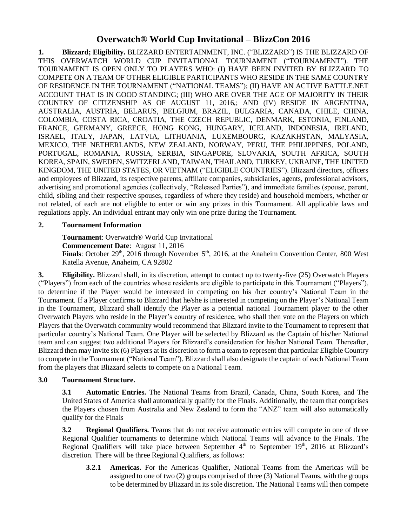# **Overwatch® World Cup Invitational – BlizzCon 2016**

**1. Blizzard; Eligibility.** BLIZZARD ENTERTAINMENT, INC. ("BLIZZARD") IS THE BLIZZARD OF THIS OVERWATCH WORLD CUP INVITATIONAL TOURNAMENT ("TOURNAMENT"). THE TOURNAMENT IS OPEN ONLY TO PLAYERS WHO: (I) HAVE BEEN INVITED BY BLIZZARD TO COMPETE ON A TEAM OF OTHER ELIGIBLE PARTICIPANTS WHO RESIDE IN THE SAME COUNTRY OF RESIDENCE IN THE TOURNAMENT ("NATIONAL TEAMS"); (II) HAVE AN ACTIVE BATTLE.NET ACCOUNT THAT IS IN GOOD STANDING; (III) WHO ARE OVER THE AGE OF MAJORITY IN THEIR COUNTRY OF CITIZENSHIP AS OF AUGUST 11, 2016,; AND (IV) RESIDE IN ARGENTINA, AUSTRALIA, AUSTRIA, BELARUS, BELGIUM, BRAZIL, BULGARIA, CANADA, CHILE, CHINA, COLOMBIA, COSTA RICA, CROATIA, THE CZECH REPUBLIC, DENMARK, ESTONIA, FINLAND, FRANCE, GERMANY, GREECE, HONG KONG, HUNGARY, ICELAND, INDONESIA, IRELAND, ISRAEL, ITALY, JAPAN, LATVIA, LITHUANIA, LUXEMBOURG, KAZAKHSTAN, MALYASIA, MEXICO, THE NETHERLANDS, NEW ZEALAND, NORWAY, PERU, THE PHILIPPINES, POLAND, PORTUGAL, ROMANIA, RUSSIA, SERBIA, SINGAPORE, SLOVAKIA, SOUTH AFRICA, SOUTH KOREA, SPAIN, SWEDEN, SWITZERLAND, TAIWAN, THAILAND, TURKEY, UKRAINE, THE UNITED KINGDOM, THE UNITED STATES, OR VIETNAM ("ELIGIBLE COUNTRIES"). Blizzard directors, officers and employees of Blizzard, its respective parents, affiliate companies, subsidiaries, agents, professional advisors, advertising and promotional agencies (collectively, "Released Parties"), and immediate families (spouse, parent, child, sibling and their respective spouses, regardless of where they reside) and household members, whether or not related, of each are not eligible to enter or win any prizes in this Tournament. All applicable laws and regulations apply. An individual entrant may only win one prize during the Tournament.

## **2. Tournament Information**

**Tournament**: Overwatch® World Cup Invitational **Commencement Date**: August 11, 2016 **Finals**: October 29<sup>th</sup>, 2016 through November 5<sup>th</sup>, 2016, at the Anaheim Convention Center, 800 West Katella Avenue, Anaheim, CA 92802

**3. Eligibility.** Blizzard shall, in its discretion, attempt to contact up to twenty-five (25) Overwatch Players ("Players") from each of the countries whose residents are eligible to participate in this Tournament ("Players"), to determine if the Player would be interested in competing on his /her country's National Team in the Tournament. If a Player confirms to Blizzard that he/she is interested in competing on the Player's National Team in the Tournament, Blizzard shall identify the Player as a potential national Tournament player to the other Overwatch Players who reside in the Player's country of residence, who shall then vote on the Players on which Players that the Overwatch community would recommend that Blizzard invite to the Tournament to represent that particular country's National Team. One Player will be selected by Blizzard as the Captain of his/her National team and can suggest two additional Players for Blizzard's consideration for his/her National Team. Thereafter, Blizzard then may invite six (6) Players at its discretion to form a team to represent that particular Eligible Country to compete in the Tournament ("National Team"). Blizzard shall also designate the captain of each National Team from the players that Blizzard selects to compete on a National Team.

#### **3.0 Tournament Structure.**

**3.1 Automatic Entries.** The National Teams from Brazil, Canada, China, South Korea, and The United States of America shall automatically qualify for the Finals. Additionally, the team that comprises the Players chosen from Australia and New Zealand to form the "ANZ" team will also automatically qualify for the Finals

**3.2 Regional Qualifiers.** Teams that do not receive automatic entries will compete in one of three Regional Qualifier tournaments to determine which National Teams will advance to the Finals. The Regional Qualifiers will take place between September 4<sup>th</sup> to September 19<sup>th</sup>, 2016 at Blizzard's discretion. There will be three Regional Qualifiers, as follows:

**3.2.1 Americas.** For the Americas Qualifier, National Teams from the Americas will be assigned to one of two (2) groups comprised of three (3) National Teams, with the groups to be determined by Blizzard in its sole discretion. The National Teams will then compete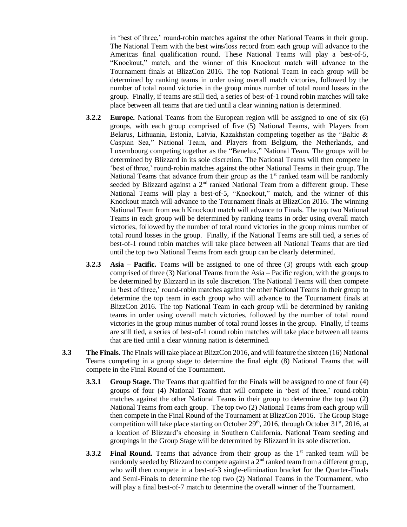in 'best of three,' round-robin matches against the other National Teams in their group. The National Team with the best wins/loss record from each group will advance to the Americas final qualification round. These National Teams will play a best-of-5, "Knockout," match, and the winner of this Knockout match will advance to the Tournament finals at BlizzCon 2016. The top National Team in each group will be determined by ranking teams in order using overall match victories, followed by the number of total round victories in the group minus number of total round losses in the group. Finally, if teams are still tied, a series of best-of-1 round robin matches will take place between all teams that are tied until a clear winning nation is determined.

- **3.2.2 Europe.** National Teams from the European region will be assigned to one of six (6) groups, with each group comprised of five (5) National Teams, with Players from Belarus, Lithuania, Estonia, Latvia, Kazakhstan competing together as the "Baltic & Caspian Sea," National Team, and Players from Belgium, the Netherlands, and Luxembourg competing together as the "Benelux," National Team. The groups will be determined by Blizzard in its sole discretion. The National Teams will then compete in 'best of three,' round-robin matches against the other National Teams in their group. The National Teams that advance from their group as the  $1<sup>st</sup>$  ranked team will be randomly seeded by Blizzard against a  $2<sup>nd</sup>$  ranked National Team from a different group. These National Teams will play a best-of-5, "Knockout," match, and the winner of this Knockout match will advance to the Tournament finals at BlizzCon 2016. The winning National Team from each Knockout match will advance to Finals. The top two National Teams in each group will be determined by ranking teams in order using overall match victories, followed by the number of total round victories in the group minus number of total round losses in the group. Finally, if the National Teams are still tied, a series of best-of-1 round robin matches will take place between all National Teams that are tied until the top two National Teams from each group can be clearly determined.
- **3.2.3 Asia – Pacific.** Teams will be assigned to one of three (3) groups with each group comprised of three (3) National Teams from the Asia – Pacific region, with the groups to be determined by Blizzard in its sole discretion. The National Teams will then compete in 'best of three,' round-robin matches against the other National Teams in their group to determine the top team in each group who will advance to the Tournament finals at BlizzCon 2016. The top National Team in each group will be determined by ranking teams in order using overall match victories, followed by the number of total round victories in the group minus number of total round losses in the group. Finally, if teams are still tied, a series of best-of-1 round robin matches will take place between all teams that are tied until a clear winning nation is determined.
- **3.3 The Finals.** The Finals will take place at BlizzCon 2016, and will feature the sixteen (16) National Teams competing in a group stage to determine the final eight (8) National Teams that will compete in the Final Round of the Tournament.
	- **3.3.1 Group Stage.** The Teams that qualified for the Finals will be assigned to one of four (4) groups of four (4) National Teams that will compete in 'best of three,' round-robin matches against the other National Teams in their group to determine the top two (2) National Teams from each group. The top two (2) National Teams from each group will then compete in the Final Round of the Tournament at BlizzCon 2016. The Group Stage competition will take place starting on October  $29<sup>th</sup>$ , 2016, through October  $31<sup>st</sup>$ , 2016, at a location of Blizzard's choosing in Southern California. National Team seeding and groupings in the Group Stage will be determined by Blizzard in its sole discretion.
	- **3.3.2 Final Round.** Teams that advance from their group as the 1<sup>st</sup> ranked team will be randomly seeded by Blizzard to compete against a  $2<sup>nd</sup>$  ranked team from a different group, who will then compete in a best-of-3 single-elimination bracket for the Quarter-Finals and Semi-Finals to determine the top two (2) National Teams in the Tournament, who will play a final best-of-7 match to determine the overall winner of the Tournament.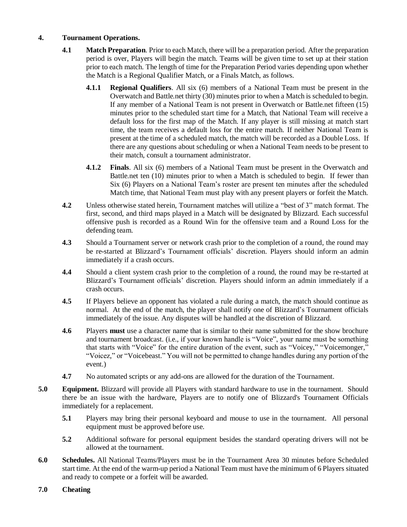#### **4. Tournament Operations.**

- **4.1 Match Preparation**. Prior to each Match, there will be a preparation period. After the preparation period is over, Players will begin the match. Teams will be given time to set up at their station prior to each match. The length of time for the Preparation Period varies depending upon whether the Match is a Regional Qualifier Match, or a Finals Match, as follows.
	- **4.1.1 Regional Qualifiers**. All six (6) members of a National Team must be present in the Overwatch and Battle.net thirty (30) minutes prior to when a Match is scheduled to begin. If any member of a National Team is not present in Overwatch or Battle.net fifteen (15) minutes prior to the scheduled start time for a Match, that National Team will receive a default loss for the first map of the Match. If any player is still missing at match start time, the team receives a default loss for the entire match. If neither National Team is present at the time of a scheduled match, the match will be recorded as a Double Loss. If there are any questions about scheduling or when a National Team needs to be present to their match, consult a tournament administrator.
	- **4.1.2 Finals**. All six (6) members of a National Team must be present in the Overwatch and Battle.net ten (10) minutes prior to when a Match is scheduled to begin. If fewer than Six (6) Players on a National Team's roster are present ten minutes after the scheduled Match time, that National Team must play with any present players or forfeit the Match.
- **4.2** Unless otherwise stated herein, Tournament matches will utilize a "best of 3" match format. The first, second, and third maps played in a Match will be designated by Blizzard. Each successful offensive push is recorded as a Round Win for the offensive team and a Round Loss for the defending team.
- **4.3** Should a Tournament server or network crash prior to the completion of a round, the round may be re-started at Blizzard's Tournament officials' discretion. Players should inform an admin immediately if a crash occurs.
- **4.4** Should a client system crash prior to the completion of a round, the round may be re-started at Blizzard's Tournament officials' discretion. Players should inform an admin immediately if a crash occurs.
- **4.5** If Players believe an opponent has violated a rule during a match, the match should continue as normal. At the end of the match, the player shall notify one of Blizzard's Tournament officials immediately of the issue. Any disputes will be handled at the discretion of Blizzard.
- **4.6** Players **must** use a character name that is similar to their name submitted for the show brochure and tournament broadcast. (i.e., if your known handle is "Voice", your name must be something that starts with "Voice" for the entire duration of the event, such as "Voicey," "Voicemonger," "Voicez," or "Voicebeast." You will not be permitted to change handles during any portion of the event.)
- **4.7** No automated scripts or any add-ons are allowed for the duration of the Tournament.
- **5.0 Equipment.** Blizzard will provide all Players with standard hardware to use in the tournament. Should there be an issue with the hardware, Players are to notify one of Blizzard's Tournament Officials immediately for a replacement.
	- **5.1** Players may bring their personal keyboard and mouse to use in the tournament. All personal equipment must be approved before use.
	- **5.2** Additional software for personal equipment besides the standard operating drivers will not be allowed at the tournament.
- **6.0 Schedules.** All National Teams/Players must be in the Tournament Area 30 minutes before Scheduled start time. At the end of the warm-up period a National Team must have the minimum of 6 Players situated and ready to compete or a forfeit will be awarded.
- **7.0 Cheating**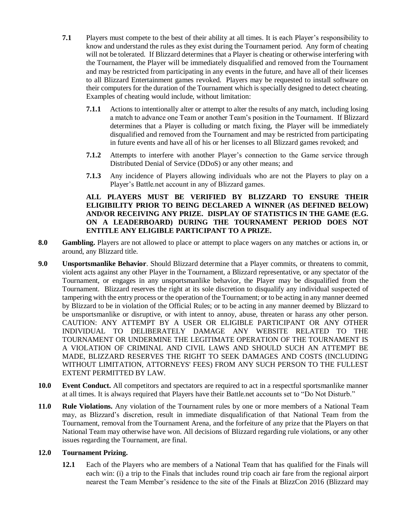- **7.1** Players must compete to the best of their ability at all times. It is each Player's responsibility to know and understand the rules as they exist during the Tournament period. Any form of cheating will not be tolerated. If Blizzard determines that a Player is cheating or otherwise interfering with the Tournament, the Player will be immediately disqualified and removed from the Tournament and may be restricted from participating in any events in the future, and have all of their licenses to all Blizzard Entertainment games revoked. Players may be requested to install software on their computers for the duration of the Tournament which is specially designed to detect cheating. Examples of cheating would include, without limitation:
	- **7.1.1** Actions to intentionally alter or attempt to alter the results of any match, including losing a match to advance one Team or another Team's position in the Tournament. If Blizzard determines that a Player is colluding or match fixing, the Player will be immediately disqualified and removed from the Tournament and may be restricted from participating in future events and have all of his or her licenses to all Blizzard games revoked; and
	- **7.1.2** Attempts to interfere with another Player's connection to the Game service through Distributed Denial of Service (DDoS) or any other means; and
	- **7.1.3** Any incidence of Players allowing individuals who are not the Players to play on a Player's Battle.net account in any of Blizzard games.

#### **ALL PLAYERS MUST BE VERIFIED BY BLIZZARD TO ENSURE THEIR ELIGIBILITY PRIOR TO BEING DECLARED A WINNER (AS DEFINED BELOW) AND/OR RECEIVING ANY PRIZE. DISPLAY OF STATISTICS IN THE GAME (E.G. ON A LEADERBOARD) DURING THE TOURNAMENT PERIOD DOES NOT ENTITLE ANY ELIGIBLE PARTICIPANT TO A PRIZE.**

- **8.0 Gambling.** Players are not allowed to place or attempt to place wagers on any matches or actions in, or around, any Blizzard title.
- **9.0 Unsportsmanlike Behavior**. Should Blizzard determine that a Player commits, or threatens to commit, violent acts against any other Player in the Tournament, a Blizzard representative, or any spectator of the Tournament, or engages in any unsportsmanlike behavior, the Player may be disqualified from the Tournament. Blizzard reserves the right at its sole discretion to disqualify any individual suspected of tampering with the entry process or the operation of the Tournament; or to be acting in any manner deemed by Blizzard to be in violation of the Official Rules; or to be acting in any manner deemed by Blizzard to be unsportsmanlike or disruptive, or with intent to annoy, abuse, threaten or harass any other person. CAUTION: ANY ATTEMPT BY A USER OR ELIGIBLE PARTICIPANT OR ANY OTHER INDIVIDUAL TO DELIBERATELY DAMAGE ANY WEBSITE RELATED TO THE TOURNAMENT OR UNDERMINE THE LEGITIMATE OPERATION OF THE TOURNAMENT IS A VIOLATION OF CRIMINAL AND CIVIL LAWS AND SHOULD SUCH AN ATTEMPT BE MADE, BLIZZARD RESERVES THE RIGHT TO SEEK DAMAGES AND COSTS (INCLUDING WITHOUT LIMITATION, ATTORNEYS' FEES) FROM ANY SUCH PERSON TO THE FULLEST EXTENT PERMITTED BY LAW.
- **10.0 Event Conduct.** All competitors and spectators are required to act in a respectful sportsmanlike manner at all times. It is always required that Players have their Battle.net accounts set to "Do Not Disturb."
- **11.0 Rule Violations.** Any violation of the Tournament rules by one or more members of a National Team may, as Blizzard's discretion, result in immediate disqualification of that National Team from the Tournament, removal from the Tournament Arena, and the forfeiture of any prize that the Players on that National Team may otherwise have won. All decisions of Blizzard regarding rule violations, or any other issues regarding the Tournament, are final.

### **12.0 Tournament Prizing.**

**12.1** Each of the Players who are members of a National Team that has qualified for the Finals will each win: (i) a trip to the Finals that includes round trip coach air fare from the regional airport nearest the Team Member's residence to the site of the Finals at BlizzCon 2016 (Blizzard may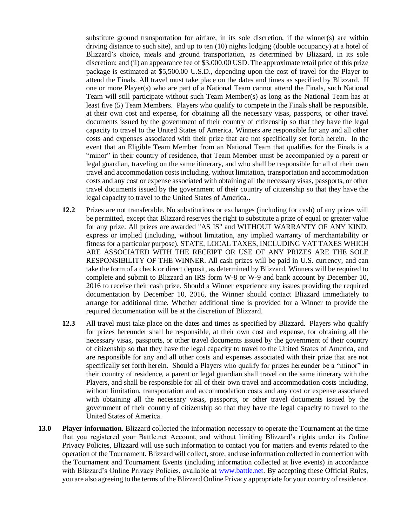substitute ground transportation for airfare, in its sole discretion, if the winner(s) are within driving distance to such site), and up to ten (10) nights lodging (double occupancy) at a hotel of Blizzard's choice, meals and ground transportation, as determined by Blizzard, in its sole discretion; and (ii) an appearance fee of \$3,000.00 USD. The approximate retail price of this prize package is estimated at \$5,500.00 U.S.D., depending upon the cost of travel for the Player to attend the Finals. All travel must take place on the dates and times as specified by Blizzard. If one or more Player(s) who are part of a National Team cannot attend the Finals, such National Team will still participate without such Team Member(s) as long as the National Team has at least five (5) Team Members. Players who qualify to compete in the Finals shall be responsible, at their own cost and expense, for obtaining all the necessary visas, passports, or other travel documents issued by the government of their country of citizenship so that they have the legal capacity to travel to the United States of America. Winners are responsible for any and all other costs and expenses associated with their prize that are not specifically set forth herein. In the event that an Eligible Team Member from an National Team that qualifies for the Finals is a "minor" in their country of residence, that Team Member must be accompanied by a parent or legal guardian, traveling on the same itinerary, and who shall be responsible for all of their own travel and accommodation costs including, without limitation, transportation and accommodation costs and any cost or expense associated with obtaining all the necessary visas, passports, or other travel documents issued by the government of their country of citizenship so that they have the legal capacity to travel to the United States of America..

- **12.2** Prizes are not transferable. No substitutions or exchanges (including for cash) of any prizes will be permitted, except that Blizzard reserves the right to substitute a prize of equal or greater value for any prize. All prizes are awarded "AS IS" and WITHOUT WARRANTY OF ANY KIND, express or implied (including, without limitation, any implied warranty of merchantability or fitness for a particular purpose). STATE, LOCAL TAXES, INCLUDING VAT TAXES WHICH ARE ASSOCIATED WITH THE RECEIPT OR USE OF ANY PRIZES ARE THE SOLE RESPONSIBILITY OF THE WINNER. All cash prizes will be paid in U.S. currency, and can take the form of a check or direct deposit, as determined by Blizzard. Winners will be required to complete and submit to Blizzard an IRS form W-8 or W-9 and bank account by December 10, 2016 to receive their cash prize. Should a Winner experience any issues providing the required documentation by December 10, 2016, the Winner should contact Blizzard immediately to arrange for additional time. Whether additional time is provided for a Winner to provide the required documentation will be at the discretion of Blizzard.
- **12.3** All travel must take place on the dates and times as specified by Blizzard. Players who qualify for prizes hereunder shall be responsible, at their own cost and expense, for obtaining all the necessary visas, passports, or other travel documents issued by the government of their country of citizenship so that they have the legal capacity to travel to the United States of America, and are responsible for any and all other costs and expenses associated with their prize that are not specifically set forth herein. Should a Players who qualify for prizes hereunder be a "minor" in their country of residence, a parent or legal guardian shall travel on the same itinerary with the Players, and shall be responsible for all of their own travel and accommodation costs including, without limitation, transportation and accommodation costs and any cost or expense associated with obtaining all the necessary visas, passports, or other travel documents issued by the government of their country of citizenship so that they have the legal capacity to travel to the United States of America.
- **13.0 Player information**. Blizzard collected the information necessary to operate the Tournament at the time that you registered your Battle.net Account, and without limiting Blizzard's rights under its Online Privacy Policies, Blizzard will use such information to contact you for matters and events related to the operation of the Tournament. Blizzard will collect, store, and use information collected in connection with the Tournament and Tournament Events (including information collected at live events) in accordance with Blizzard's Online Privacy Policies, available at [www.battle.net.](http://www.battle.net/) By accepting these Official Rules, you are also agreeing to the terms of the Blizzard Online Privacy appropriate for your country of residence.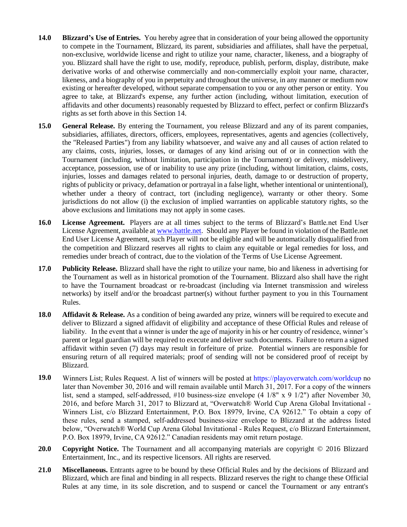- **14.0 Blizzard's Use of Entries.** You hereby agree that in consideration of your being allowed the opportunity to compete in the Tournament, Blizzard, its parent, subsidiaries and affiliates, shall have the perpetual, non-exclusive, worldwide license and right to utilize your name, character, likeness, and a biography of you. Blizzard shall have the right to use, modify, reproduce, publish, perform, display, distribute, make derivative works of and otherwise commercially and non-commercially exploit your name, character, likeness, and a biography of you in perpetuity and throughout the universe, in any manner or medium now existing or hereafter developed, without separate compensation to you or any other person or entity. You agree to take, at Blizzard's expense, any further action (including, without limitation, execution of affidavits and other documents) reasonably requested by Blizzard to effect, perfect or confirm Blizzard's rights as set forth above in this Section 14.
- **15.0 General Release.** By entering the Tournament, you release Blizzard and any of its parent companies, subsidiaries, affiliates, directors, officers, employees, representatives, agents and agencies (collectively, the "Released Parties") from any liability whatsoever, and waive any and all causes of action related to any claims, costs, injuries, losses, or damages of any kind arising out of or in connection with the Tournament (including, without limitation, participation in the Tournament) or delivery, misdelivery, acceptance, possession, use of or inability to use any prize (including, without limitation, claims, costs, injuries, losses and damages related to personal injuries, death, damage to or destruction of property, rights of publicity or privacy, defamation or portrayal in a false light, whether intentional or unintentional), whether under a theory of contract, tort (including negligence), warranty or other theory. Some jurisdictions do not allow (i) the exclusion of implied warranties on applicable statutory rights, so the above exclusions and limitations may not apply in some cases.
- **16.0 License Agreement.** Players are at all times subject to the terms of Blizzard's Battle.net End User License Agreement, available at [www.battle.net.](http://www.battle.net/) Should any Player be found in violation of the Battle.net End User License Agreement, such Player will not be eligible and will be automatically disqualified from the competition and Blizzard reserves all rights to claim any equitable or legal remedies for loss, and remedies under breach of contract, due to the violation of the Terms of Use License Agreement.
- **17.0 Publicity Release.** Blizzard shall have the right to utilize your name, bio and likeness in advertising for the Tournament as well as in historical promotion of the Tournament. Blizzard also shall have the right to have the Tournament broadcast or re-broadcast (including via Internet transmission and wireless networks) by itself and/or the broadcast partner(s) without further payment to you in this Tournament Rules.
- **18.0 Affidavit & Release.** As a condition of being awarded any prize, winners will be required to execute and deliver to Blizzard a signed affidavit of eligibility and acceptance of these Official Rules and release of liability. In the event that a winner is under the age of majority in his or her country of residence, winner's parent or legal guardian will be required to execute and deliver such documents. Failure to return a signed affidavit within seven (7) days may result in forfeiture of prize. Potential winners are responsible for ensuring return of all required materials; proof of sending will not be considered proof of receipt by Blizzard.
- **19.0** Winners List; Rules Request. A list of winners will be posted at [https://playoverwatch.com/worldcup no](https://playoverwatch.com/worldcup)  later than November 30, 2016 and will remain available until March 31, 2017. For a copy of the winners list, send a stamped, self-addressed, #10 business-size envelope (4 1/8" x 9 1/2") after November 30, 2016, and before March 31, 2017 to Blizzard at, "Overwatch® World Cup Arena Global Invitational - Winners List, c/o Blizzard Entertainment, P.O. Box 18979, Irvine, CA 92612." To obtain a copy of these rules, send a stamped, self-addressed business-size envelope to Blizzard at the address listed below, "Overwatch® World Cup Arena Global Invitational - Rules Request, c/o Blizzard Entertainment, P.O. Box 18979, Irvine, CA 92612." Canadian residents may omit return postage.
- **20.0 Copyright Notice.** The Tournament and all accompanying materials are copyright © 2016 Blizzard Entertainment, Inc., and its respective licensors. All rights are reserved.
- **21.0 Miscellaneous.** Entrants agree to be bound by these Official Rules and by the decisions of Blizzard and Blizzard, which are final and binding in all respects. Blizzard reserves the right to change these Official Rules at any time, in its sole discretion, and to suspend or cancel the Tournament or any entrant's